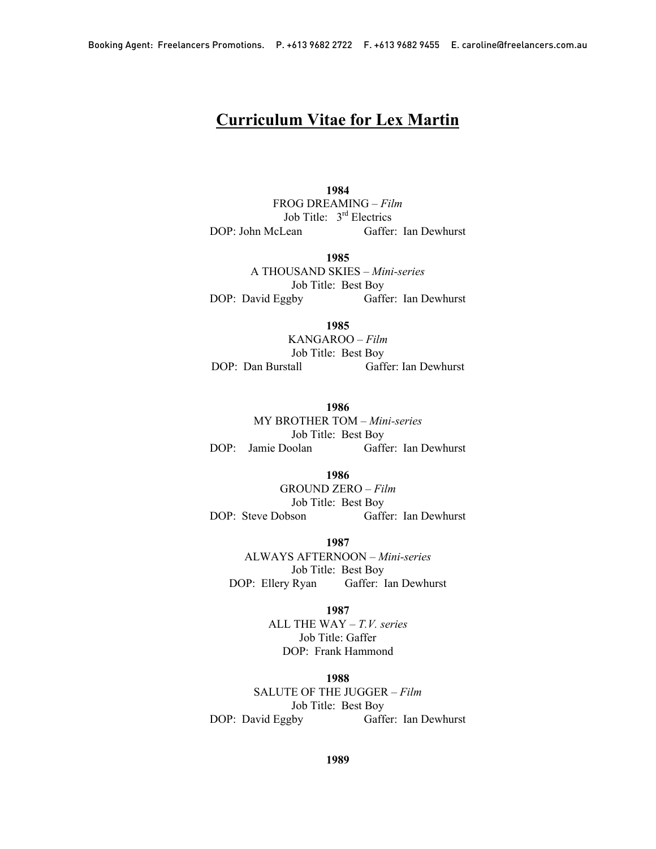# Curriculum Vitae for Lex Martin

1984 FROG DREAMING – *Film* Job Title:  $3<sup>rd</sup>$  Electrics<br>DOP: John McLean Gaffer Gaffer: Ian Dewhurst

1985

A THOUSAND SKIES – *Mini-series* Job Title: Best Boy DOP: David Eggby Gaffer: Ian Dewhurst

1985

KANGAROO – *Film* Job Title: Best Boy DOP: Dan Burstall Gaffer: Ian Dewhurst

1986

MY BROTHER TOM – *Mini-series* Job Title: Best Boy DOP: Jamie Doolan Gaffer: Ian Dewhurst

> 1986 GROUND ZERO – *Film*

Job Title: Best Boy DOP: Steve Dobson Gaffer: Ian Dewhurst

1987

ALWAYS AFTERNOON – *Mini-series* Job Title: Best Boy DOP: Ellery Ryan Gaffer: Ian Dewhurst

1987

ALL THE WAY – *T.V. series* Job Title: Gaffer DOP: Frank Hammond

1988

SALUTE OF THE JUGGER – *Film* Job Title: Best Boy DOP: David Eggby Gaffer: Ian Dewhurst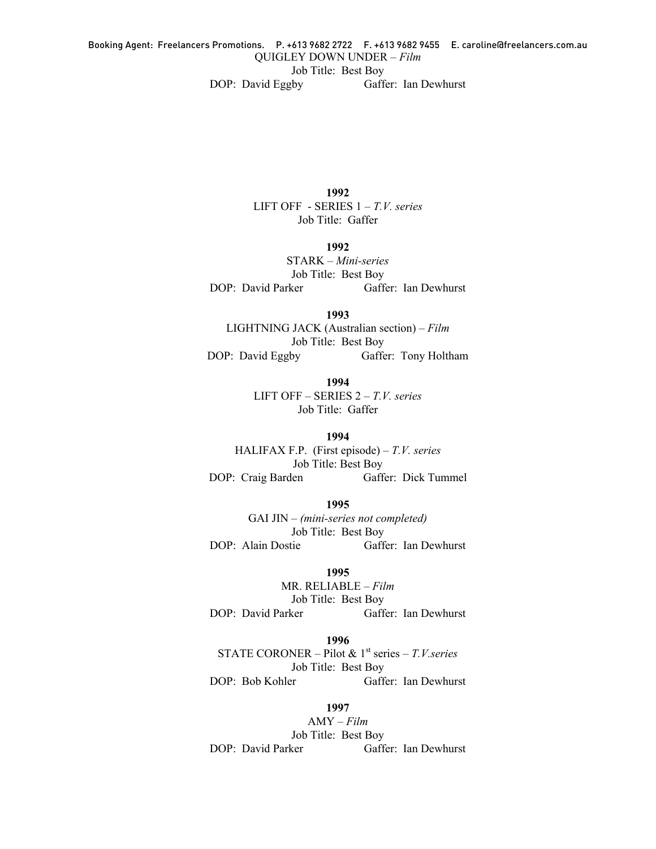DOP: David Eggby Gaffer: Ian Dewhurst

1992 LIFT OFF - SERIES 1 – *T.V. series* Job Title: Gaffer

### 1992

STARK – *Mini-series* Job Title: Best Boy DOP: David Parker Gaffer: Ian Dewhurst

1993 LIGHTNING JACK (Australian section) – *Film* Job Title: Best Boy

DOP: David Eggby Gaffer: Tony Holtham

1994 LIFT OFF – SERIES 2 – *T.V. series*

Job Title: Gaffer

1994 HALIFAX F.P. (First episode) – *T.V. series* Job Title: Best Boy DOP: Craig Barden Gaffer: Dick Tummel

1995 GAI JIN – *(mini-series not completed)* Job Title: Best Boy<br>DOP: Alain Dostie Gaff Gaffer: Ian Dewhurst

#### 1995

MR. RELIABLE – *Film* Job Title: Best Boy DOP: David Parker Gaffer: Ian Dewhurst

## 1996

STATE CORONER – Pilot & 1<sup>st</sup> series – *T.V.series* Job Title: Best Boy DOP: Bob Kohler Gaffer: Ian Dewhurst

1997

AMY – *Film* Job Title: Best Boy DOP: David Parker Gaffer: Ian Dewhurst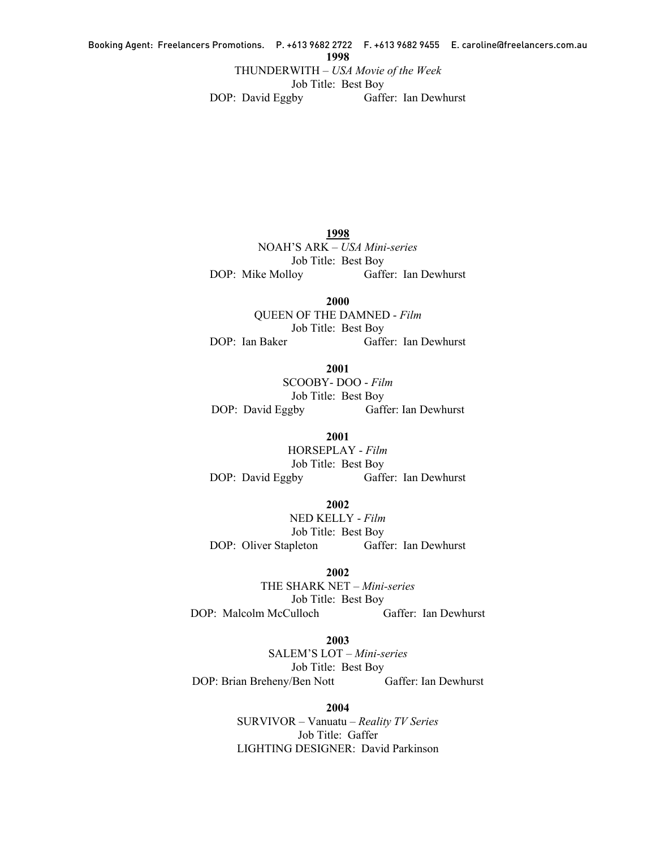#### Booking Agent: Freelancers Promotions. P. +613 9682 2722 F. +613 9682 9455 E. caroline@freelancers.com.au 1998

THUNDERWITH – *USA Movie of the Week*

Job Title: Best Boy

DOP: David Eggby Gaffer: Ian Dewhurst

1998 NOAH'S ARK – *USA Mini-series* Job Title: Best Boy DOP: Mike Molloy Gaffer: Ian Dewhurst

2000 QUEEN OF THE DAMNED - *Film* Job Title: Best Boy DOP: Ian Baker Gaffer: Ian Dewhurst

2001 SCOOBY- DOO - *Film* Job Title: Best Boy DOP: David Eggby Gaffer: Ian Dewhurst

2001 HORSEPLAY - *Film* Job Title: Best Boy DOP: David Eggby Gaffer: Ian Dewhurst

2002 NED KELLY - *Film* Job Title: Best Boy DOP: Oliver Stapleton Gaffer: Ian Dewhurst

2002 THE SHARK NET – *Mini-series* Job Title: Best Boy DOP: Malcolm McCulloch Gaffer: Ian Dewhurst

2003 SALEM'S LOT – *Mini-series* Job Title: Best Boy DOP: Brian Breheny/Ben Nott Gaffer: Ian Dewhurst

> 2004 SURVIVOR – Vanuatu – *Reality TV Series* Job Title: Gaffer LIGHTING DESIGNER: David Parkinson